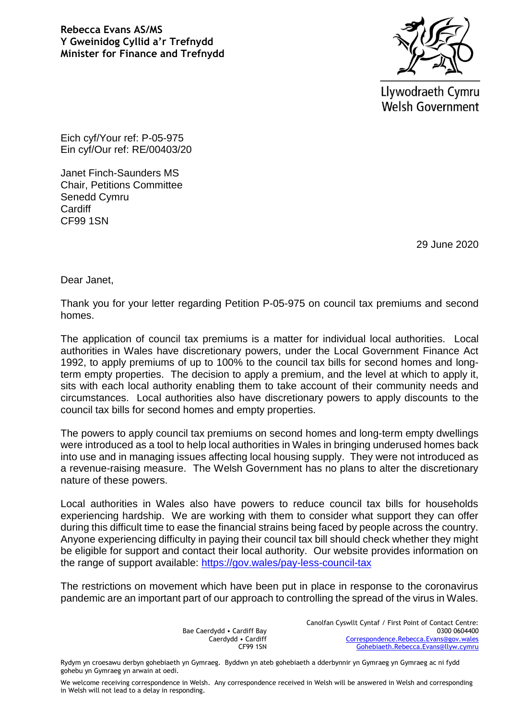**Rebecca Evans AS/MS Y Gweinidog Cyllid a'r Trefnydd Minister for Finance and Trefnydd**



Llywodraeth Cymru **Welsh Government** 

Eich cyf/Your ref: P-05-975 Ein cyf/Our ref: RE/00403/20

Janet Finch-Saunders MS Chair, Petitions Committee Senedd Cymru **Cardiff** CF99 1SN

29 June 2020

Dear Janet,

Thank you for your letter regarding Petition P-05-975 on council tax premiums and second homes.

The application of council tax premiums is a matter for individual local authorities. Local authorities in Wales have discretionary powers, under the Local Government Finance Act 1992, to apply premiums of up to 100% to the council tax bills for second homes and longterm empty properties. The decision to apply a premium, and the level at which to apply it, sits with each local authority enabling them to take account of their community needs and circumstances. Local authorities also have discretionary powers to apply discounts to the council tax bills for second homes and empty properties.

The powers to apply council tax premiums on second homes and long-term empty dwellings were introduced as a tool to help local authorities in Wales in bringing underused homes back into use and in managing issues affecting local housing supply. They were not introduced as a revenue-raising measure. The Welsh Government has no plans to alter the discretionary nature of these powers.

Local authorities in Wales also have powers to reduce council tax bills for households experiencing hardship. We are working with them to consider what support they can offer during this difficult time to ease the financial strains being faced by people across the country. Anyone experiencing difficulty in paying their council tax bill should check whether they might be eligible for support and contact their local authority. Our website provides information on the range of support available:<https://gov.wales/pay-less-council-tax>

The restrictions on movement which have been put in place in response to the coronavirus pandemic are an important part of our approach to controlling the spread of the virus in Wales.

> Bae Caerdydd • Cardiff Bay Caerdydd • Cardiff CF99 1SN

Canolfan Cyswllt Cyntaf / First Point of Contact Centre: 0300 0604400 [Correspondence.Rebecca.Evans@gov.wales](mailto:Correspondence.Rebecca.Evans@gov.wales) [Gohebiaeth.Rebecca.Evans@llyw.cymru](mailto:Gohebiaeth.Rebecca.Evans@llyw.cymru)

We welcome receiving correspondence in Welsh. Any correspondence received in Welsh will be answered in Welsh and corresponding in Welsh will not lead to a delay in responding.

Rydym yn croesawu derbyn gohebiaeth yn Gymraeg. Byddwn yn ateb gohebiaeth a dderbynnir yn Gymraeg yn Gymraeg ac ni fydd gohebu yn Gymraeg yn arwain at oedi.